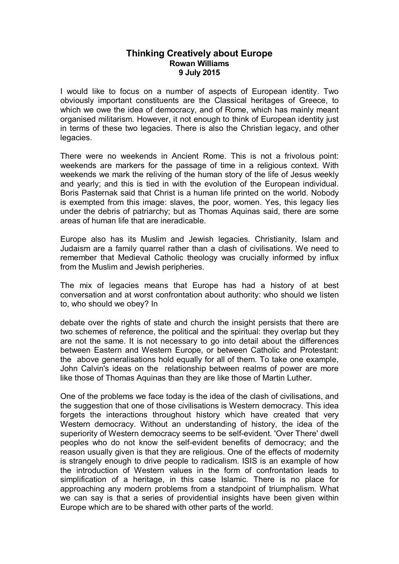## **Thinking Creatively about Europe Rowan Williams 9 July 2015**

I would like to focus on a number of aspects of European identity. Two obviously important constituents are the Classical heritages of Greece, to which we owe the idea of democracy, and of Rome, which has mainly meant organised militarism. However, it not enough to think of European identity just in terms of these two legacies. There is also the Christian legacy, and other legacies.

There were no weekends in Ancient Rome. This is not a frivolous point: weekends are markers for the passage of time in a religious context. With weekends we mark the reliving of the human story of the life of Jesus weekly and yearly; and this is tied in with the evolution of the European individual. Boris Pasternak said that Christ is a human life printed on the world. Nobody is exempted from this image: slaves, the poor, women. Yes, this legacy lies under the debris of patriarchy; but as Thomas Aquinas said, there are some areas of human life that are ineradicable.

Europe also has its Muslim and Jewish legacies. Christianity, Islam and Judaism are a family quarrel rather than a clash of civilisations. We need to remember that Medieval Catholic theology was crucially informed by influx from the Muslim and Jewish peripheries.

The mix of legacies means that Europe has had a history of at best conversation and at worst confrontation about authority: who should we listen to, who should we obey? In

debate over the rights of state and church the insight persists that there are two schemes of reference, the political and the spiritual: they overlap but they are not the same. It is not necessary to go into detail about the differences between Eastern and Western Europe, or between Catholic and Protestant: the above generalisations hold equally for all of them. To take one example, John Calvin's ideas on the relationship between realms of power are more like those of Thomas Aquinas than they are like those of Martin Luther.

One of the problems we face today is the idea of the clash of civilisations, and the suggestion that one of those civilisations is Western democracy. This idea forgets the interactions throughout history which have created that very Western democracy. Without an understanding of history, the idea of the superiority of Western democracy seems to be self-evident. 'Over There' dwell peoples who do not know the self-evident benefits of democracy; and the reason usually given is that they are religious. One of the effects of modernity is strangely enough to drive people to radicalism. ISIS is an example of how the introduction of Western values in the form of confrontation leads to simplification of a heritage, in this case Islamic. There is no place for approaching any modern problems from a standpoint of triumphalism. What we can say is that a series of providential insights have been given within Europe which are to be shared with other parts of the world.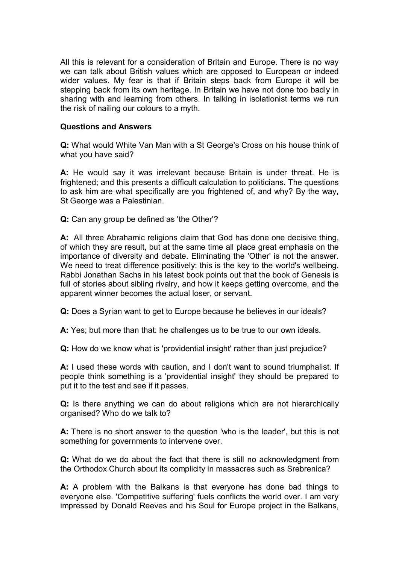All this is relevant for a consideration of Britain and Europe. There is no way we can talk about British values which are opposed to European or indeed wider values. My fear is that if Britain steps back from Europe it will be stepping back from its own heritage. In Britain we have not done too badly in sharing with and learning from others. In talking in isolationist terms we run the risk of nailing our colours to a myth.

## **Questions and Answers**

**Q:** What would White Van Man with a St George's Cross on his house think of what you have said?

**A:** He would say it was irrelevant because Britain is under threat. He is frightened; and this presents a difficult calculation to politicians. The questions to ask him are what specifically are you frightened of, and why? By the way, St George was a Palestinian.

**Q:** Can any group be defined as 'the Other'?

**A:** All three Abrahamic religions claim that God has done one decisive thing, of which they are result, but at the same time all place great emphasis on the importance of diversity and debate. Eliminating the 'Other' is not the answer. We need to treat difference positively: this is the key to the world's wellbeing. Rabbi Jonathan Sachs in his latest book points out that the book of Genesis is full of stories about sibling rivalry, and how it keeps getting overcome, and the apparent winner becomes the actual loser, or servant.

**Q:** Does a Syrian want to get to Europe because he believes in our ideals?

**A:** Yes; but more than that: he challenges us to be true to our own ideals.

**Q:** How do we know what is 'providential insight' rather than just prejudice?

**A:** I used these words with caution, and I don't want to sound triumphalist. If people think something is a 'providential insight' they should be prepared to put it to the test and see if it passes.

**Q:** Is there anything we can do about religions which are not hierarchically organised? Who do we talk to?

**A:** There is no short answer to the question 'who is the leader', but this is not something for governments to intervene over.

**Q:** What do we do about the fact that there is still no acknowledgment from the Orthodox Church about its complicity in massacres such as Srebrenica?

**A:** A problem with the Balkans is that everyone has done bad things to everyone else. 'Competitive suffering' fuels conflicts the world over. I am very impressed by Donald Reeves and his Soul for Europe project in the Balkans,